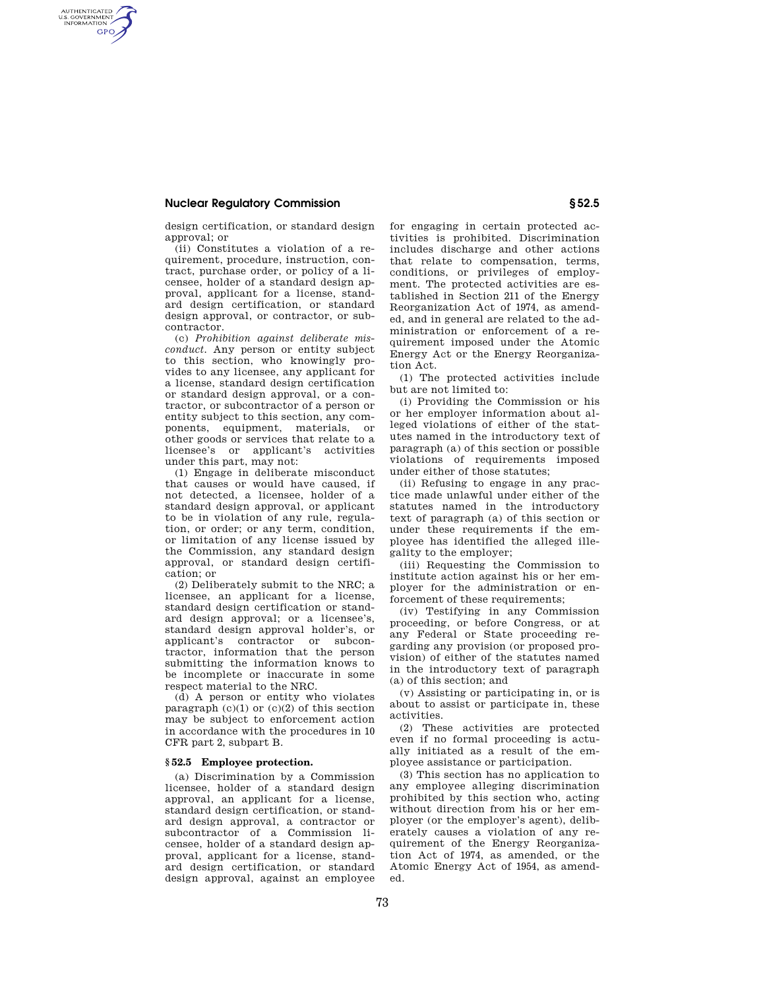# **Nuclear Regulatory Commission § 52.5**

AUTHENTICATED<br>U.S. GOVERNMENT<br>INFORMATION **GPO** 

design certification, or standard design approval; or

(ii) Constitutes a violation of a requirement, procedure, instruction, contract, purchase order, or policy of a licensee, holder of a standard design approval, applicant for a license, standard design certification, or standard design approval, or contractor, or subcontractor.

(c) *Prohibition against deliberate misconduct.* Any person or entity subject to this section, who knowingly provides to any licensee, any applicant for a license, standard design certification or standard design approval, or a contractor, or subcontractor of a person or entity subject to this section, any components, equipment, materials, or other goods or services that relate to a licensee's or applicant's activities under this part, may not:

(1) Engage in deliberate misconduct that causes or would have caused, if not detected, a licensee, holder of a standard design approval, or applicant to be in violation of any rule, regulation, or order; or any term, condition, or limitation of any license issued by the Commission, any standard design approval, or standard design certification; or

(2) Deliberately submit to the NRC; a licensee, an applicant for a license, standard design certification or standard design approval; or a licensee's, standard design approval holder's, or applicant's contractor or subcontractor, information that the person submitting the information knows to be incomplete or inaccurate in some respect material to the NRC.

(d) A person or entity who violates paragraph  $(c)(1)$  or  $(c)(2)$  of this section may be subject to enforcement action in accordance with the procedures in 10 CFR part 2, subpart B.

### **§ 52.5 Employee protection.**

(a) Discrimination by a Commission licensee, holder of a standard design approval, an applicant for a license, standard design certification, or standard design approval, a contractor or subcontractor of a Commission licensee, holder of a standard design approval, applicant for a license, standard design certification, or standard design approval, against an employee for engaging in certain protected activities is prohibited. Discrimination includes discharge and other actions that relate to compensation, terms, conditions, or privileges of employment. The protected activities are established in Section 211 of the Energy Reorganization Act of 1974, as amended, and in general are related to the administration or enforcement of a requirement imposed under the Atomic Energy Act or the Energy Reorganization Act.

(1) The protected activities include but are not limited to:

(i) Providing the Commission or his or her employer information about alleged violations of either of the statutes named in the introductory text of paragraph (a) of this section or possible violations of requirements imposed under either of those statutes;

(ii) Refusing to engage in any practice made unlawful under either of the statutes named in the introductory text of paragraph (a) of this section or under these requirements if the employee has identified the alleged illegality to the employer;

(iii) Requesting the Commission to institute action against his or her employer for the administration or enforcement of these requirements;

(iv) Testifying in any Commission proceeding, or before Congress, or at any Federal or State proceeding regarding any provision (or proposed provision) of either of the statutes named in the introductory text of paragraph (a) of this section; and

(v) Assisting or participating in, or is about to assist or participate in, these activities.

(2) These activities are protected even if no formal proceeding is actually initiated as a result of the employee assistance or participation.

(3) This section has no application to any employee alleging discrimination prohibited by this section who, acting without direction from his or her employer (or the employer's agent), deliberately causes a violation of any requirement of the Energy Reorganization Act of 1974, as amended, or the Atomic Energy Act of 1954, as amended.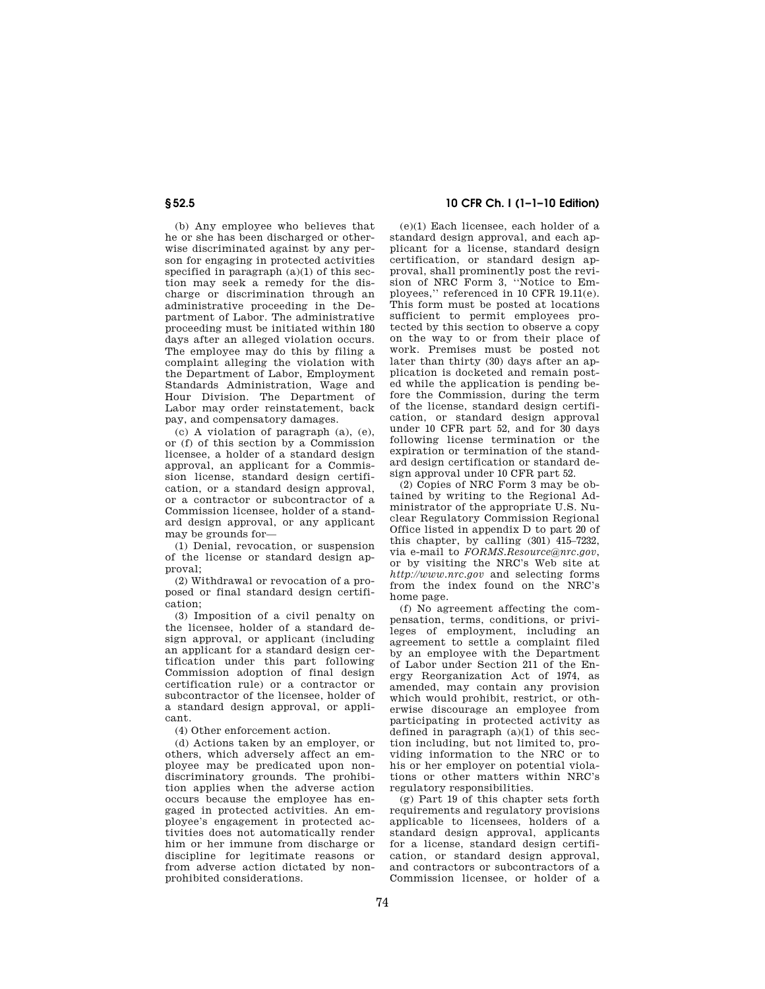(b) Any employee who believes that he or she has been discharged or otherwise discriminated against by any person for engaging in protected activities specified in paragraph  $(a)(1)$  of this section may seek a remedy for the discharge or discrimination through an administrative proceeding in the Department of Labor. The administrative proceeding must be initiated within 180 days after an alleged violation occurs. The employee may do this by filing a complaint alleging the violation with the Department of Labor, Employment Standards Administration, Wage and Hour Division. The Department of Labor may order reinstatement, back pay, and compensatory damages.

(c) A violation of paragraph (a), (e), or (f) of this section by a Commission licensee, a holder of a standard design approval, an applicant for a Commission license, standard design certification, or a standard design approval, or a contractor or subcontractor of a Commission licensee, holder of a standard design approval, or any applicant may be grounds for—

(1) Denial, revocation, or suspension of the license or standard design approval;

(2) Withdrawal or revocation of a proposed or final standard design certification;

(3) Imposition of a civil penalty on the licensee, holder of a standard design approval, or applicant (including an applicant for a standard design certification under this part following Commission adoption of final design certification rule) or a contractor or subcontractor of the licensee, holder of a standard design approval, or applicant.

(4) Other enforcement action.

(d) Actions taken by an employer, or others, which adversely affect an employee may be predicated upon nondiscriminatory grounds. The prohibition applies when the adverse action occurs because the employee has engaged in protected activities. An employee's engagement in protected activities does not automatically render him or her immune from discharge or discipline for legitimate reasons or from adverse action dictated by nonprohibited considerations.

# **§ 52.5 10 CFR Ch. I (1–1–10 Edition)**

(e)(1) Each licensee, each holder of a standard design approval, and each applicant for a license, standard design certification, or standard design approval, shall prominently post the revision of NRC Form 3, ''Notice to Employees,'' referenced in 10 CFR 19.11(e). This form must be posted at locations sufficient to permit employees protected by this section to observe a copy on the way to or from their place of work. Premises must be posted not later than thirty (30) days after an application is docketed and remain posted while the application is pending before the Commission, during the term of the license, standard design certification, or standard design approval under 10 CFR part 52, and for 30 days following license termination or the expiration or termination of the standard design certification or standard design approval under 10 CFR part 52.

(2) Copies of NRC Form 3 may be obtained by writing to the Regional Administrator of the appropriate U.S. Nuclear Regulatory Commission Regional Office listed in appendix D to part 20 of this chapter, by calling (301) 415–7232, via e-mail to *FORMS.Resource@nrc.gov*, or by visiting the NRC's Web site at *http://www.nrc.gov* and selecting forms from the index found on the NRC's home page.

(f) No agreement affecting the compensation, terms, conditions, or privileges of employment, including an agreement to settle a complaint filed by an employee with the Department of Labor under Section 211 of the Energy Reorganization Act of 1974, as amended, may contain any provision which would prohibit, restrict, or otherwise discourage an employee from participating in protected activity as defined in paragraph  $(a)(1)$  of this section including, but not limited to, providing information to the NRC or to his or her employer on potential violations or other matters within NRC's regulatory responsibilities.

(g) Part 19 of this chapter sets forth requirements and regulatory provisions applicable to licensees, holders of a standard design approval, applicants for a license, standard design certification, or standard design approval, and contractors or subcontractors of a Commission licensee, or holder of a